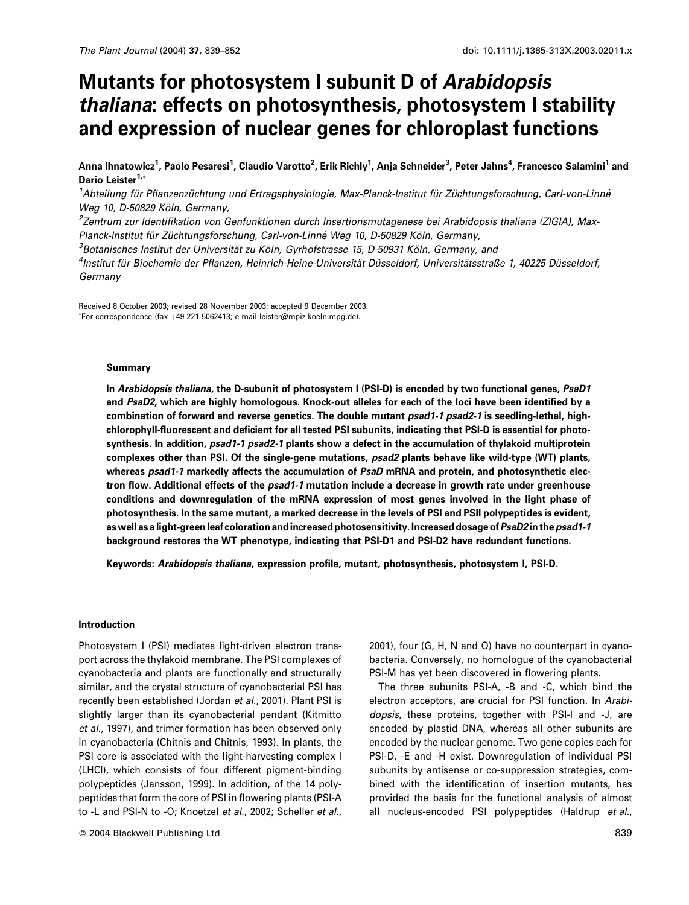# Mutants for photosystem I subunit D of Arabidopsis thaliana: effects on photosynthesis, photosystem I stability and expression of nuclear genes for chloroplast functions

Anna Ihnatowicz<sup>1</sup>, Paolo Pesaresi<sup>1</sup>, Claudio Varotto<sup>2</sup>, Erik Richly<sup>1</sup>, Anja Schneider<sup>3</sup>, Peter Jahns<sup>4</sup>, Francesco Salamini<sup>1</sup> and Dario Leister<sup>1,\*</sup>

<sup>1</sup>Abteilung für Pflanzenzüchtung und Ertragsphysiologie, Max-Planck-Institut für Züchtungsforschung, Carl-von-Linné Weg 10, D-50829 Köln, Germany,

<sup>2</sup>Zentrum zur Identifikation von Genfunktionen durch Insertionsmutagenese bei Arabidopsis thaliana (ZIGIA), Max-Planck-Institut für Züchtungsforschung. Carl-von-Linné Weg 10, D-50829 Köln. Germany.

<sup>3</sup>Botanisches Institut der Universität zu Köln, Gyrhofstrasse 15, D-50931 Köln, Germany, and

<sup>4</sup>Institut für Biochemie der Pflanzen, Heinrich-Heine-Universität Düsseldorf, Universitätsstraße 1, 40225 Düsseldorf, Germany

Received 8 October 2003; revised 28 November 2003; accepted 9 December 2003. \*For correspondence (fax +49 221 5062413; e-mail leister@mpiz-koeln.mpg.de).

#### **Summary**

In Arabidopsis thaliana, the D-subunit of photosystem I (PSI-D) is encoded by two functional genes, PsaD1 and PsaD2, which are highly homologous. Knock-out alleles for each of the loci have been identified by a combination of forward and reverse genetics. The double mutant psad1-1 psad2-1 is seedling-lethal, highchlorophyll-fluorescent and deficient for all tested PSI subunits, indicating that PSI-D is essential for photosynthesis. In addition, psad1-1 psad2-1 plants show a defect in the accumulation of thylakoid multiprotein complexes other than PSI. Of the single-gene mutations, psad2 plants behave like wild-type (WT) plants, whereas psad1-1 markedly affects the accumulation of PsaD mRNA and protein, and photosynthetic electron flow. Additional effects of the psad1-1 mutation include a decrease in growth rate under greenhouse conditions and downregulation of the mRNA expression of most genes involved in the light phase of photosynthesis. In the same mutant, a marked decrease in the levels of PSI and PSII polypeptides is evident, as well as a light-green leaf coloration and increased photosensitivity. Increased dosage of PsaD2 in the psad1-1 background restores the WT phenotype, indicating that PSI-D1 and PSI-D2 have redundant functions.

Keywords: Arabidopsis thaliana, expression profile, mutant, photosynthesis, photosystem I, PSI-D.

#### **Introduction**

Photosystem I (PSI) mediates light-driven electron transport across the thylakoid membrane. The PSI complexes of cyanobacteria and plants are functionally and structurally similar, and the crystal structure of cyanobacterial PSI has recently been established (Jordan et al., 2001). Plant PSI is slightly larger than its cyanobacterial pendant (Kitmitto et al., 1997), and trimer formation has been observed only in cyanobacteria (Chitnis and Chitnis, 1993). In plants, the PSI core is associated with the light-harvesting complex I (LHCI), which consists of four different pigment-binding polypeptides (Jansson, 1999). In addition, of the 14 polypeptides that form the core of PSI in flowering plants (PSI-A to -L and PSI-N to -O; Knoetzel et al., 2002; Scheller et al.,

2001), four (G, H, N and O) have no counterpart in cyanobacteria. Conversely, no homologue of the cyanobacterial PSI-M has yet been discovered in flowering plants.

The three subunits PSI-A, -B and -C, which bind the electron acceptors, are crucial for PSI function. In Arabidopsis, these proteins, together with PSI-I and -J, are encoded by plastid DNA, whereas all other subunits are encoded by the nuclear genome. Two gene copies each for PSI-D, -E and -H exist. Downregulation of individual PSI subunits by antisense or co-suppression strategies, combined with the identification of insertion mutants, has provided the basis for the functional analysis of almost all nucleus-encoded PSI polypeptides (Haldrup et al.,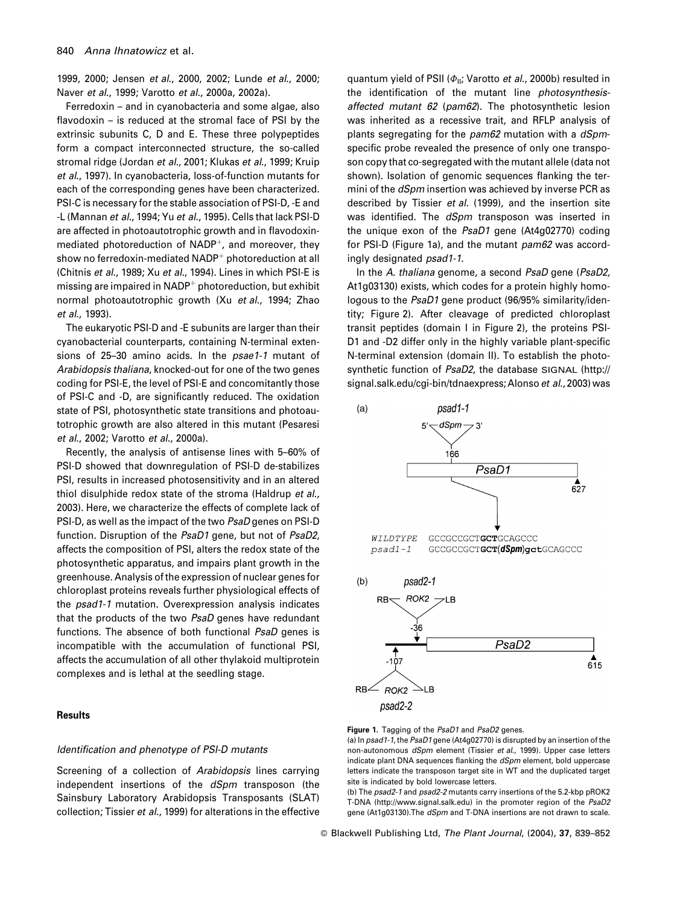1999, 2000; Jensen et al., 2000, 2002; Lunde et al., 2000; Naver et al., 1999; Varotto et al., 2000a, 2002a).

Ferredoxin – and in cyanobacteria and some algae, also flavodoxin - is reduced at the stromal face of PSI by the extrinsic subunits C, D and E. These three polypeptides form a compact interconnected structure, the so-called stromal ridge (Jordan et al., 2001; Klukas et al., 1999; Kruip et al., 1997). In cyanobacteria, loss-of-function mutants for each of the corresponding genes have been characterized. PSI-C is necessary for the stable association of PSI-D, -E and -L (Mannan et al., 1994; Yu et al., 1995). Cells that lack PSI-D are affected in photoautotrophic growth and in flavodoxinmediated photoreduction of NADP<sup>+</sup>, and moreover, they show no ferredoxin-mediated NADP<sup>+</sup> photoreduction at all (Chitnis et al., 1989; Xu et al., 1994). Lines in which PSI-E is missing are impaired in NADP<sup>+</sup> photoreduction, but exhibit normal photoautotrophic growth (Xu et al., 1994; Zhao et al., 1993).

The eukaryotic PSI-D and -E subunits are larger than their cyanobacterial counterparts, containing N-terminal extensions of 25-30 amino acids. In the psae1-1 mutant of Arabidopsis thaliana, knocked-out for one of the two genes coding for PSI-E, the level of PSI-E and concomitantly those of PSI-C and -D, are significantly reduced. The oxidation state of PSI, photosynthetic state transitions and photoautotrophic growth are also altered in this mutant (Pesaresi et al., 2002; Varotto et al., 2000a).

Recently, the analysis of antisense lines with 5-60% of PSI-D showed that downregulation of PSI-D de-stabilizes PSI, results in increased photosensitivity and in an altered thiol disulphide redox state of the stroma (Haldrup et al., 2003). Here, we characterize the effects of complete lack of PSI-D, as well as the impact of the two PsaD genes on PSI-D function. Disruption of the PsaD1 gene, but not of PsaD2, affects the composition of PSI, alters the redox state of the photosynthetic apparatus, and impairs plant growth in the greenhouse. Analysis of the expression of nuclear genes for chloroplast proteins reveals further physiological effects of the psad1-1 mutation. Overexpression analysis indicates that the products of the two PsaD genes have redundant functions. The absence of both functional *PsaD* genes is incompatible with the accumulation of functional PSI, affects the accumulation of all other thylakoid multiprotein complexes and is lethal at the seedling stage.

# **Results**

#### Identification and phenotype of PSI-D mutants

Screening of a collection of Arabidopsis lines carrying independent insertions of the dSpm transposon (the Sainsbury Laboratory Arabidopsis Transposants (SLAT) collection; Tissier et al., 1999) for alterations in the effective quantum yield of PSII ( $\Phi_{II}$ ; Varotto *et al.*, 2000b) resulted in the identification of the mutant line *photosynthesis*affected mutant 62 (pam62). The photosynthetic lesion was inherited as a recessive trait, and RFLP analysis of plants segregating for the pam62 mutation with a dSpmspecific probe revealed the presence of only one transposon copy that co-segregated with the mutant allele (data not shown). Isolation of genomic sequences flanking the termini of the dSpm insertion was achieved by inverse PCR as described by Tissier et al. (1999), and the insertion site was identified. The dSpm transposon was inserted in the unique exon of the PsaD1 gene (At4g02770) coding for PSI-D (Figure 1a), and the mutant pam62 was accordingly designated psad1-1.

In the A. thaliana genome, a second PsaD gene (PsaD2, At1g03130) exists, which codes for a protein highly homologous to the PsaD1 gene product (96/95% similarity/identity; Figure 2). After cleavage of predicted chloroplast transit peptides (domain I in Figure 2), the proteins PSI-D1 and -D2 differ only in the highly variable plant-specific N-terminal extension (domain II). To establish the photosynthetic function of PsaD2, the database SIGNAL (http:// signal.salk.edu/cgi-bin/tdnaexpress; Alonso et al., 2003) was



Figure 1. Tagging of the PsaD1 and PsaD2 genes.

(a) In psad1-1, the PsaD1 gene (At4g02770) is disrupted by an insertion of the non-autonomous dSpm element (Tissier et al., 1999). Upper case letters indicate plant DNA sequences flanking the dSpm element, bold uppercase letters indicate the transposon target site in WT and the duplicated target site is indicated by bold lowercase letters.

(b) The psad2-1 and psad2-2 mutants carry insertions of the 5.2-kbp pROK2 T-DNA (http://www.signal.salk.edu) in the promoter region of the PsaD2 gene (At1g03130). The *dSpm* and T-DNA insertions are not drawn to scale.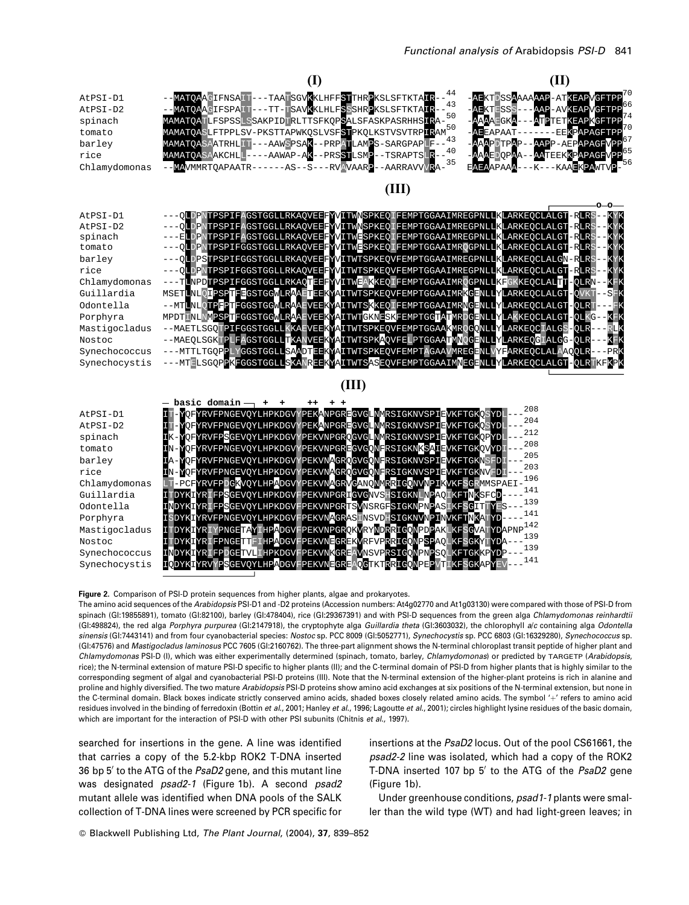

#### Figure 2. Comparison of PSI-D protein sequences from higher plants, algae and prokaryotes.

The amino acid sequences of the Arabidopsis PSI-D1 and -D2 proteins (Accession numbers: At4g02770 and At1g03130) were compared with those of PSI-D from spinach (Gl:19855891), tomato (Gl:82100), barley (Gl:478404), rice (Gl:29367391) and with PSI-D sequences from the green alga Chlamydomonas reinhardtii (GI:498824), the red alga Porphyra purpurea (GI:2147918), the cryptophyte alga Guillardia theta (GI:3603032), the chlorophyll a/c containing alga Odontella sinensis (GI:7443141) and from four cyanobacterial species: Nostoc sp. PCC 8009 (GI:5052771), Synechocystis sp. PCC 6803 (GI:16329280), Synechococcus sp. (GI:47576) and *Mastigocladus laminosus* PCC 7605 (GI:2160762). The three-part alignment shows the N-terminal chloroplast transit peptide of higher plant and Chlamydomonas PSI-D (I), which was either experimentally determined (spinach, tomato, barley, Chlamydomonas) or predicted by TARGETP (Arabidopsis, rice); the N-terminal extension of mature PSI-D specific to higher plants (II); and the C-terminal domain of PSI-D from higher plants that is highly similar to the corresponding segment of algal and cyanobacterial PSI-D proteins (III). Note that the N-terminal extension of the higher-plant proteins is rich in alanine and proline and highly diversified. The two mature Arabidopsis PSI-D proteins show amino acid exchanges at six positions of the N-terminal extension, but none in the C-terminal domain. Black boxes indicate strictly conserved amino acids, shaded boxes closely related amino acids. The symbol '+' refers to amino acid residues involved in the binding of ferredoxin (Bottin et al., 2001; Hanley et al., 1996; Lagoutte et al., 2001); circles highlight lysine residues of the basic domain, which are important for the interaction of PSI-D with other PSI subunits (Chitnis et al., 1997).

searched for insertions in the gene. A line was identified that carries a copy of the 5.2-kbp ROK2 T-DNA inserted 36 bp 5' to the ATG of the PsaD2 gene, and this mutant line was designated psad2-1 (Figure 1b). A second psad2 mutant allele was identified when DNA pools of the SALK collection of T-DNA lines were screened by PCR specific for insertions at the PsaD2 locus. Out of the pool CS61661, the psad2-2 line was isolated, which had a copy of the ROK2 T-DNA inserted 107 bp 5' to the ATG of the PsaD2 gene (Figure 1b).

Under greenhouse conditions, psad1-1 plants were smaller than the wild type (WT) and had light-green leaves; in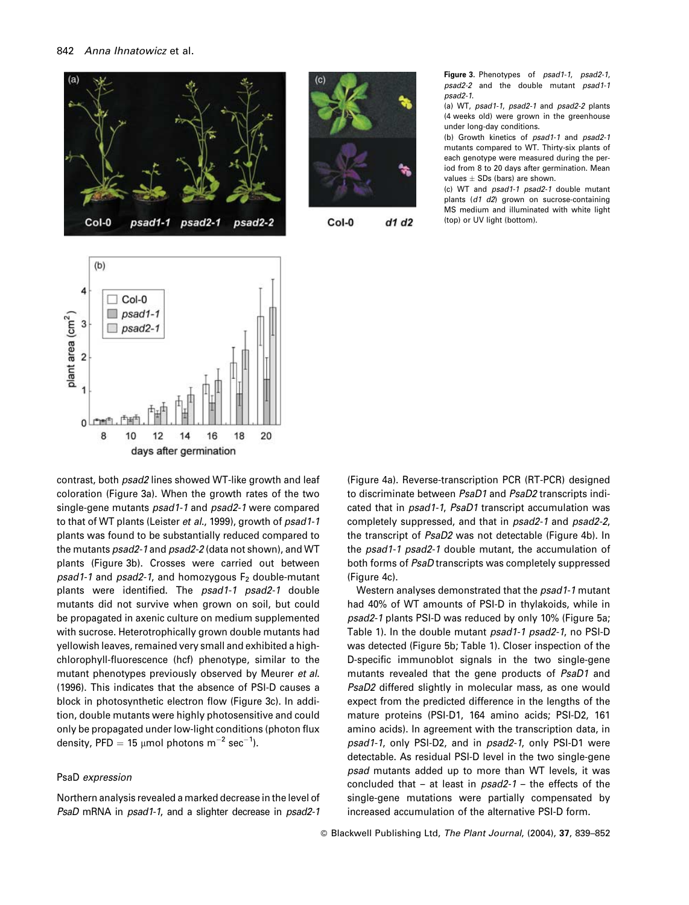



Col-0  $d1 d2$ 

Figure 3. Phenotypes of psad1-1, psad2-1, psad2-2 and the double mutant psad1-1  $psad2-1$ .

(a) WT, psad1-1, psad2-1 and psad2-2 plants (4 weeks old) were grown in the greenhouse under long-day conditions.

(b) Growth kinetics of psad1-1 and psad2-1 mutants compared to WT. Thirty-six plants of each genotype were measured during the period from 8 to 20 days after germination. Mean values  $\pm$  SDs (bars) are shown.

(c) WT and psad1-1 psad2-1 double mutant plants (d1 d2) grown on sucrose-containing MS medium and illuminated with white light (top) or UV light (bottom).



contrast, both psad2 lines showed WT-like growth and leaf coloration (Figure 3a). When the growth rates of the two single-gene mutants psad1-1 and psad2-1 were compared to that of WT plants (Leister et al., 1999), growth of psad1-1 plants was found to be substantially reduced compared to the mutants *psad2-1* and *psad2-2* (data not shown), and WT plants (Figure 3b). Crosses were carried out between psad1-1 and psad2-1, and homozygous F<sub>2</sub> double-mutant plants were identified. The psad1-1 psad2-1 double mutants did not survive when grown on soil, but could be propagated in axenic culture on medium supplemented with sucrose. Heterotrophically grown double mutants had yellowish leaves, remained very small and exhibited a highchlorophyll-fluorescence (hcf) phenotype, similar to the mutant phenotypes previously observed by Meurer et al. (1996). This indicates that the absence of PSI-D causes a block in photosynthetic electron flow (Figure 3c). In addition, double mutants were highly photosensitive and could only be propagated under low-light conditions (photon flux density, PFD = 15 umol photons  $m^{-2}$  sec<sup>-1</sup>).

#### PsaD expression

Northern analysis revealed a marked decrease in the level of PsaD mRNA in psad1-1, and a slighter decrease in psad2-1 (Figure 4a). Reverse-transcription PCR (RT-PCR) designed to discriminate between PsaD1 and PsaD2 transcripts indicated that in psad1-1, PsaD1 transcript accumulation was completely suppressed, and that in psad2-1 and psad2-2, the transcript of PsaD2 was not detectable (Figure 4b). In the psad1-1 psad2-1 double mutant, the accumulation of both forms of PsaD transcripts was completely suppressed (Figure 4c).

Western analyses demonstrated that the psad1-1 mutant had 40% of WT amounts of PSI-D in thylakoids, while in psad2-1 plants PSI-D was reduced by only 10% (Figure 5a; Table 1). In the double mutant psad1-1 psad2-1, no PSI-D was detected (Figure 5b; Table 1). Closer inspection of the D-specific immunoblot signals in the two single-gene mutants revealed that the gene products of PsaD1 and PsaD2 differed slightly in molecular mass, as one would expect from the predicted difference in the lengths of the mature proteins (PSI-D1, 164 amino acids; PSI-D2, 161 amino acids). In agreement with the transcription data, in psad1-1, only PSI-D2, and in psad2-1, only PSI-D1 were detectable. As residual PSI-D level in the two single-gene psad mutants added up to more than WT levels, it was concluded that  $-$  at least in  $psad2-1$  - the effects of the single-gene mutations were partially compensated by increased accumulation of the alternative PSI-D form.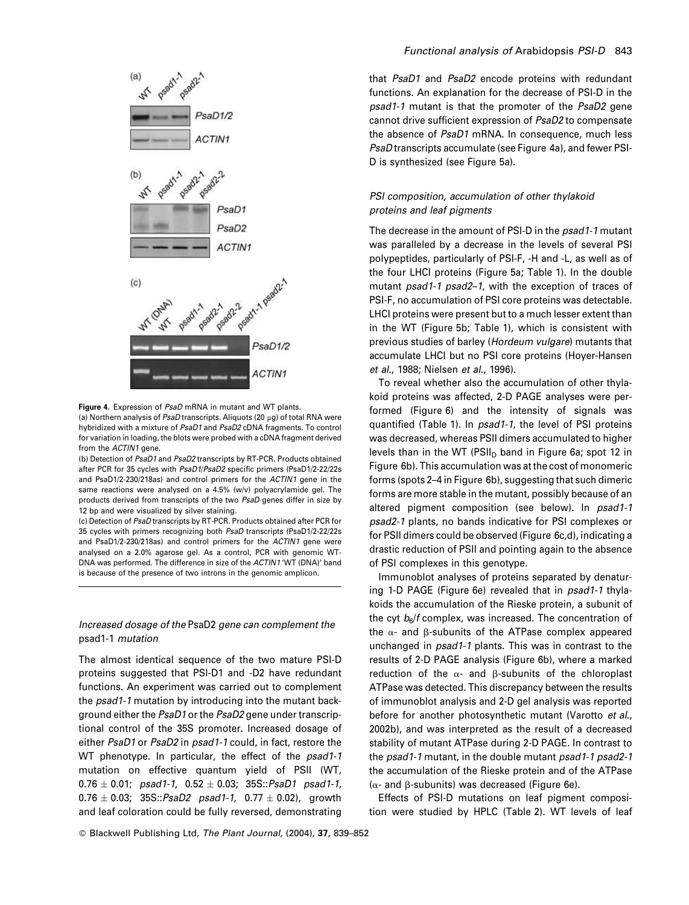



(a) Northern analysis of PsaD transcripts. Aliquots (20 ug) of total RNA were hybridized with a mixture of PsaD1 and PsaD2 cDNA fragments. To control for variation in loading, the blots were probed with a cDNA fragment derived from the ACTIN1 gene.

(b) Detection of PsaD1 and PsaD2 transcripts by RT-PCR. Products obtained after PCR for 35 cycles with PsaD1/PsaD2 specific primers (PsaD1/2-22/22s and PsaD1/2-230/218as) and control primers for the ACTIN1 gene in the same reactions were analysed on a 4.5% (w/v) polyacrylamide gel. The products derived from transcripts of the two PsaD genes differ in size by 12 bp and were visualized by silver staining.

(c) Detection of PsaD transcripts by RT-PCR. Products obtained after PCR for 35 cycles with primers recognizing both PsaD transcripts (PsaD1/2-22/22s and PsaD1/2-230/218as) and control primers for the ACTIN1 gene were analysed on a 2.0% agarose gel. As a control, PCR with genomic WT-DNA was performed. The difference in size of the ACTIN1 'WT (DNA)' band is because of the presence of two introns in the genomic amplicon.

## Increased dosage of the PsaD2 gene can complement the psad1-1 mutation

The almost identical sequence of the two mature PSI-D proteins suggested that PSI-D1 and -D2 have redundant functions. An experiment was carried out to complement the psad1-1 mutation by introducing into the mutant background either the PsaD1 or the PsaD2 gene under transcriptional control of the 35S promoter. Increased dosage of either PsaD1 or PsaD2 in psad1-1 could, in fact, restore the WT phenotype. In particular, the effect of the psad1-1 mutation on effective quantum yield of PSII (WT,  $0.76 \pm 0.01$ ; psad1-1,  $0.52 \pm 0.03$ ; 35S::PsaD1 psad1-1,  $0.76 \pm 0.03$ ;  $35S::PsaD2$  psad 1-1,  $0.77 \pm 0.02$ ), growth and leaf coloration could be fully reversed, demonstrating that PsaD1 and PsaD2 encode proteins with redundant functions. An explanation for the decrease of PSI-D in the psad1-1 mutant is that the promoter of the PsaD2 gene cannot drive sufficient expression of PsaD2 to compensate the absence of PsaD1 mRNA. In consequence, much less *PsaD* transcripts accumulate (see Figure 4a), and fewer PSI-D is synthesized (see Figure 5a).

# PSI composition, accumulation of other thylakoid proteins and leaf pigments

The decrease in the amount of PSI-D in the psad1-1 mutant was paralleled by a decrease in the levels of several PSI polypeptides, particularly of PSI-F, -H and -L, as well as of the four LHCI proteins (Figure 5a; Table 1). In the double mutant psad1-1 psad2-1, with the exception of traces of PSI-F, no accumulation of PSI core proteins was detectable. LHCI proteins were present but to a much lesser extent than in the WT (Figure 5b; Table 1), which is consistent with previous studies of barley (Hordeum vulgare) mutants that accumulate LHCI but no PSI core proteins (Hoyer-Hansen et al., 1988; Nielsen et al., 1996).

To reveal whether also the accumulation of other thylakoid proteins was affected, 2-D PAGE analyses were performed (Figure 6) and the intensity of signals was quantified (Table 1). In psad1-1, the level of PSI proteins was decreased, whereas PSII dimers accumulated to higher levels than in the WT (PSII<sub>D</sub> band in Figure 6a; spot 12 in Figure 6b). This accumulation was at the cost of monomeric forms (spots 2–4 in Figure 6b), suggesting that such dimeric forms are more stable in the mutant, possibly because of an altered pigment composition (see below). In psad1-1 psad2-1 plants, no bands indicative for PSI complexes or for PSII dimers could be observed (Figure 6c,d), indicating a drastic reduction of PSII and pointing again to the absence of PSI complexes in this genotype.

Immunoblot analyses of proteins separated by denaturing 1-D PAGE (Figure 6e) revealed that in psad1-1 thylakoids the accumulation of the Rieske protein, a subunit of the cyt  $b<sub>s</sub>/f$  complex, was increased. The concentration of the  $\alpha$ - and  $\beta$ -subunits of the ATPase complex appeared unchanged in psad1-1 plants. This was in contrast to the results of 2-D PAGE analysis (Figure 6b), where a marked reduction of the  $\alpha$ - and  $\beta$ -subunits of the chloroplast ATPase was detected. This discrepancy between the results of immunoblot analysis and 2-D gel analysis was reported before for another photosynthetic mutant (Varotto et al., 2002b), and was interpreted as the result of a decreased stability of mutant ATPase during 2-D PAGE. In contrast to the psad1-1 mutant, in the double mutant psad1-1 psad2-1 the accumulation of the Rieske protein and of the ATPase  $(\alpha$ - and  $\beta$ -subunits) was decreased (Figure 6e).

Effects of PSI-D mutations on leaf pigment composition were studied by HPLC (Table 2). WT levels of leaf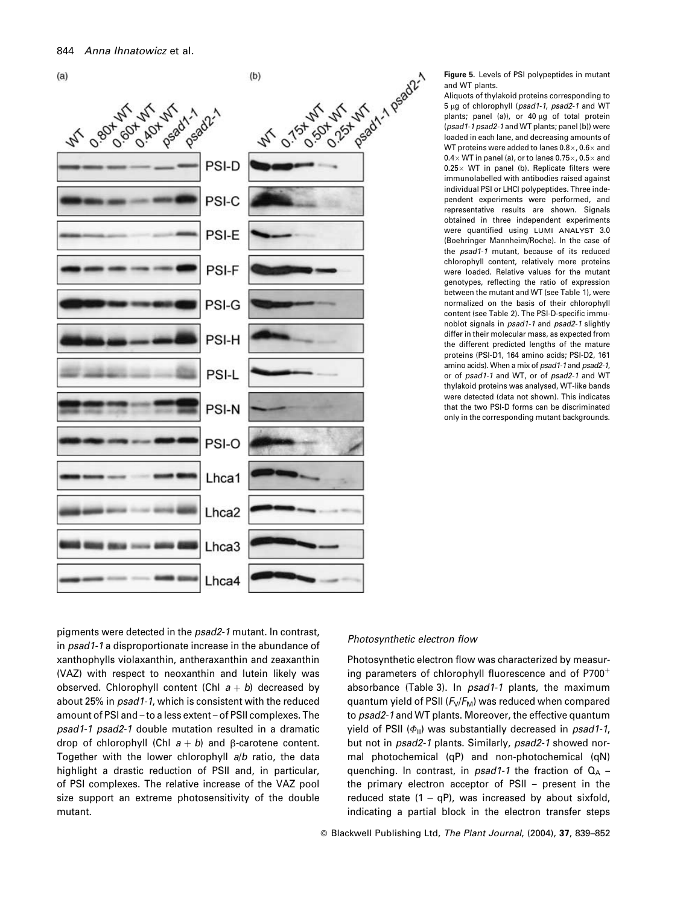

Figure 5. Levels of PSI polypeptides in mutant and WT plants.

Aliquots of thylakoid proteins corresponding to 5 ug of chlorophyll (psad1-1, psad2-1 and WT plants; panel (a)), or 40 µg of total protein (psad1-1 psad2-1 and WT plants; panel (b)) were loaded in each lane, and decreasing amounts of WT proteins were added to lanes  $0.8 \times$ ,  $0.6 \times$  and  $0.4\times$  WT in panel (a), or to lanes 0.75 $\times$ , 0.5 $\times$  and  $0.25 \times$  WT in panel (b). Replicate filters were immunolabelled with antibodies raised against individual PSI or LHCI polypeptides. Three independent experiments were performed, and representative results are shown. Signals obtained in three independent experiments were quantified using LUMI ANALYST 3.0 (Boehringer Mannheim/Roche). In the case of the *psad1-1* mutant, because of its reduced chlorophyll content, relatively more proteins were loaded. Relative values for the mutant genotypes, reflecting the ratio of expression between the mutant and WT (see Table 1), were normalized on the basis of their chlorophyll content (see Table 2). The PSI-D-specific immunoblot signals in psad1-1 and psad2-1 slightly differ in their molecular mass, as expected from the different predicted lengths of the mature proteins (PSI-D1, 164 amino acids; PSI-D2, 161 amino acids). When a mix of psad1-1 and psad2-1, or of psad1-1 and WT, or of psad2-1 and WT thylakoid proteins was analysed, WT-like bands were detected (data not shown). This indicates that the two PSI-D forms can be discriminated only in the corresponding mutant backgrounds.

pigments were detected in the psad2-1 mutant. In contrast, in psad1-1 a disproportionate increase in the abundance of xanthophylls violaxanthin, antheraxanthin and zeaxanthin (VAZ) with respect to neoxanthin and lutein likely was observed. Chlorophyll content (Chl  $a + b$ ) decreased by about 25% in psad1-1, which is consistent with the reduced amount of PSI and - to a less extent - of PSII complexes. The psad1-1 psad2-1 double mutation resulted in a dramatic drop of chlorophyll (Chl  $a + b$ ) and  $\beta$ -carotene content. Together with the lower chlorophyll a/b ratio, the data highlight a drastic reduction of PSII and, in particular, of PSI complexes. The relative increase of the VAZ pool size support an extreme photosensitivity of the double mutant.

#### Photosynthetic electron flow

Photosynthetic electron flow was characterized by measuring parameters of chlorophyll fluorescence and of P700<sup>+</sup> absorbance (Table 3). In *psad1-1* plants, the maximum quantum yield of PSII  $(F_v/F_M)$  was reduced when compared to psad2-1 and WT plants. Moreover, the effective quantum vield of PSII  $(\phi_{\rm u})$  was substantially decreased in psad1-1. but not in psad2-1 plants. Similarly, psad2-1 showed normal photochemical (qP) and non-photochemical (qN) quenching. In contrast, in  $psad1-1$  the fraction of  $Q_A$  the primary electron acceptor of PSII - present in the reduced state  $(1 - qP)$ , was increased by about sixfold, indicating a partial block in the electron transfer steps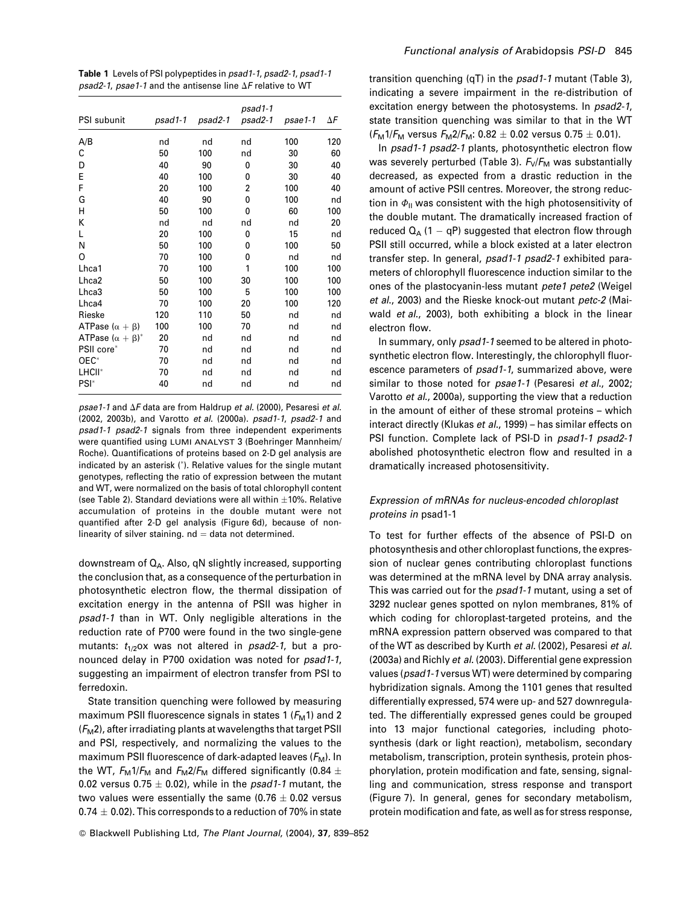Table 1 Levels of PSI polypeptides in psad1-1, psad2-1, psad1-1 psad2-1, psae1-1 and the antisense line  $\Delta F$  relative to WT

| PSI subunit                 | $psad1-1$ | psad2-1 | psad1-1<br>psad2-1 | psae1-1 | ΔF  |
|-----------------------------|-----------|---------|--------------------|---------|-----|
| A/B                         | nd        | nd      | nd                 | 100     | 120 |
| С                           | 50        | 100     | nd                 | 30      | 60  |
| D                           | 40        | 90      | 0                  | 30      | 40  |
| E                           | 40        | 100     | 0                  | 30      | 40  |
| F                           | 20        | 100     | $\overline{2}$     | 100     | 40  |
| G                           | 40        | 90      | 0                  | 100     | nd  |
| Н                           | 50        | 100     | 0                  | 60      | 100 |
| K                           | nd        | nd      | nd                 | nd      | 20  |
| L                           | 20        | 100     | 0                  | 15      | nd  |
| N                           | 50        | 100     | 0                  | 100     | 50  |
| O                           | 70        | 100     | 0                  | nd      | nd  |
| Lhca1                       | 70        | 100     | 1                  | 100     | 100 |
| Lhca <sub>2</sub>           | 50        | 100     | 30                 | 100     | 100 |
| Lhca3                       | 50        | 100     | 5                  | 100     | 100 |
| Lhca4                       | 70        | 100     | 20                 | 100     | 120 |
| Rieske                      | 120       | 110     | 50                 | nd      | nd  |
| ATPase $(\alpha + \beta)$   | 100       | 100     | 70                 | nd      | nd  |
| ATPase $(\alpha + \beta)^*$ | 20        | nd      | nd                 | nd      | nd  |
| PSII core*                  | 70        | nd      | nd                 | nd      | nd  |
| $OEC*$                      | 70        | nd      | nd                 | nd      | nd  |
| LHCII <sup>*</sup>          | 70        | nd      | nd                 | nd      | nd  |
| PSI <sup>*</sup>            | 40        | nd      | nd                 | nd      | nd  |

psae1-1 and  $\Delta F$  data are from Haldrup et al. (2000), Pesaresi et al. (2002, 2003b), and Varotto et al. (2000a). psad1-1, psad2-1 and psad1-1 psad2-1 signals from three independent experiments were quantified using LUMI ANALYST 3 (Boehringer Mannheim/ Roche). Quantifications of proteins based on 2-D gel analysis are indicated by an asterisk (\*). Relative values for the single mutant genotypes, reflecting the ratio of expression between the mutant and WT, were normalized on the basis of total chlorophyll content (see Table 2). Standard deviations were all within  $\pm 10\%$ . Relative accumulation of proteins in the double mutant were not quantified after 2-D gel analysis (Figure 6d), because of nonlinearity of silver staining,  $nd = data$  not determined.

downstream of  $Q_A$ . Also, qN slightly increased, supporting the conclusion that, as a consequence of the perturbation in photosynthetic electron flow, the thermal dissipation of excitation energy in the antenna of PSII was higher in psad1-1 than in WT. Only negligible alterations in the reduction rate of P700 were found in the two single-gene mutants:  $t_{1/2}$ ox was not altered in psad2-1, but a pronounced delay in P700 oxidation was noted for psad1-1, suggesting an impairment of electron transfer from PSI to ferredoxin.

State transition quenching were followed by measuring maximum PSII fluorescence signals in states 1 ( $F<sub>M</sub>$ 1) and 2  $(F_M 2)$ , after irradiating plants at wavelengths that target PSII and PSI, respectively, and normalizing the values to the maximum PSII fluorescence of dark-adapted leaves  $(F_M)$ . In the WT,  $F_M 1/F_M$  and  $F_M 2/F_M$  differed significantly (0.84  $\pm$ 0.02 versus 0.75  $\pm$  0.02), while in the psad1-1 mutant, the two values were essentially the same (0.76  $\pm$  0.02 versus 0.74  $\pm$  0.02). This corresponds to a reduction of 70% in state transition quenching  $(qT)$  in the  $psad1-1$  mutant (Table 3), indicating a severe impairment in the re-distribution of excitation energy between the photosystems. In psad2-1, state transition quenching was similar to that in the WT  $(F_M 1/F_M$  versus  $F_M 2/F_M$ : 0.82  $\pm$  0.02 versus 0.75  $\pm$  0.01).

In psad1-1 psad2-1 plants, photosynthetic electron flow was severely perturbed (Table 3).  $F_v/F_M$  was substantially decreased, as expected from a drastic reduction in the amount of active PSII centres. Moreover, the strong reduction in  $\Phi_{\parallel}$  was consistent with the high photosensitivity of the double mutant. The dramatically increased fraction of reduced  $Q_A$  (1 – qP) suggested that electron flow through PSII still occurred, while a block existed at a later electron transfer step. In general, psad1-1 psad2-1 exhibited parameters of chlorophyll fluorescence induction similar to the ones of the plastocyanin-less mutant pete1 pete2 (Weigel et al., 2003) and the Rieske knock-out mutant petc-2 (Maiwald et al., 2003), both exhibiting a block in the linear electron flow.

In summary, only psad1-1 seemed to be altered in photosynthetic electron flow. Interestingly, the chlorophyll fluorescence parameters of *psad1-1*, summarized above, were similar to those noted for psae1-1 (Pesaresi et al., 2002; Varotto et al., 2000a), supporting the view that a reduction in the amount of either of these stromal proteins - which interact directly (Klukas et al., 1999) - has similar effects on PSI function. Complete lack of PSI-D in psad1-1 psad2-1 abolished photosynthetic electron flow and resulted in a dramatically increased photosensitivity.

# Expression of mRNAs for nucleus-encoded chloroplast proteins in psad1-1

To test for further effects of the absence of PSI-D on photosynthesis and other chloroplast functions, the expression of nuclear genes contributing chloroplast functions was determined at the mRNA level by DNA array analysis. This was carried out for the *psad1-1* mutant, using a set of 3292 nuclear genes spotted on nylon membranes, 81% of which coding for chloroplast-targeted proteins, and the mRNA expression pattern observed was compared to that of the WT as described by Kurth et al. (2002), Pesaresi et al. (2003a) and Richly et al. (2003). Differential gene expression values (psad1-1 versus WT) were determined by comparing hybridization signals. Among the 1101 genes that resulted differentially expressed, 574 were up- and 527 downregulated. The differentially expressed genes could be grouped into 13 maior functional categories, including photosynthesis (dark or light reaction), metabolism, secondary metabolism, transcription, protein synthesis, protein phosphorylation, protein modification and fate, sensing, signalling and communication, stress response and transport (Figure 7). In general, genes for secondary metabolism, protein modification and fate, as well as for stress response,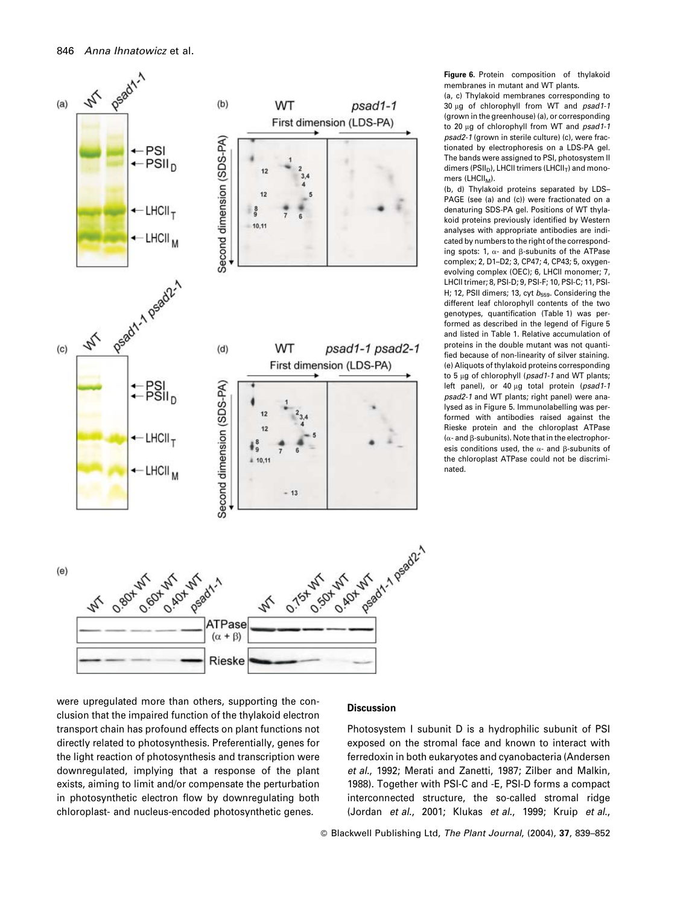

Figure 6. Protein composition of thylakoid membranes in mutant and WT plants

(a, c) Thylakoid membranes corresponding to 30 ug of chlorophyll from WT and psad1-1 (grown in the greenhouse) (a), or corresponding to 20 µg of chlorophyll from WT and psad1-1 nsad2-1 (grown in sterile culture) (c), were fractionated by electrophoresis on a LDS-PA gel. The bands were assigned to PSI, photosystem II dimers (PSII<sub>D</sub>), LHCII trimers (LHCII<sub>T</sub>) and monomers  $(LHCl<sub>M</sub>)$ .

(b, d) Thylakoid proteins separated by LDS-PAGE (see (a) and (c)) were fractionated on a denaturing SDS-PA gel. Positions of WT thylakoid proteins previously identified by Western analyses with appropriate antibodies are indicated by numbers to the right of the corresponding spots: 1,  $\alpha$ - and B-subunits of the ATPase complex; 2, D1-D2; 3, CP47; 4, CP43; 5, oxygenevolving complex (OEC); 6, LHCII monomer; 7, LHCII trimer; 8, PSI-D; 9, PSI-F; 10, PSI-C; 11, PSI-H; 12, PSII dimers; 13, cyt  $b_{559}$ . Considering the different leaf chlorophyll contents of the two genotypes, quantification (Table 1) was performed as described in the legend of Figure 5 and listed in Table 1. Relative accumulation of proteins in the double mutant was not quantified because of non-linearity of silver staining. (e) Aliquots of thylakoid proteins corresponding to 5 µg of chlorophyll (psad1-1 and WT plants; left panel), or 40 µg total protein (psad1-1 psad2-1 and WT plants; right panel) were analysed as in Figure 5. Immunolabelling was performed with antibodies raised against the Rieske protein and the chloroplast ATPase  $(\alpha$ - and B-subunits). Note that in the electrophoresis conditions used, the  $\alpha$ - and  $\beta$ -subunits of the chloroplast ATPase could not be discrimihated

were upregulated more than others, supporting the conclusion that the impaired function of the thylakoid electron transport chain has profound effects on plant functions not directly related to photosynthesis. Preferentially, genes for the light reaction of photosynthesis and transcription were downregulated, implying that a response of the plant exists, aiming to limit and/or compensate the perturbation in photosynthetic electron flow by downregulating both chloroplast- and nucleus-encoded photosynthetic genes.

## **Discussion**

Photosystem I subunit D is a hydrophilic subunit of PSI exposed on the stromal face and known to interact with ferredoxin in both eukaryotes and cyanobacteria (Andersen et al., 1992; Merati and Zanetti, 1987; Zilber and Malkin, 1988). Together with PSI-C and -E, PSI-D forms a compact interconnected structure, the so-called stromal ridge (Jordan et al., 2001; Klukas et al., 1999; Kruip et al.,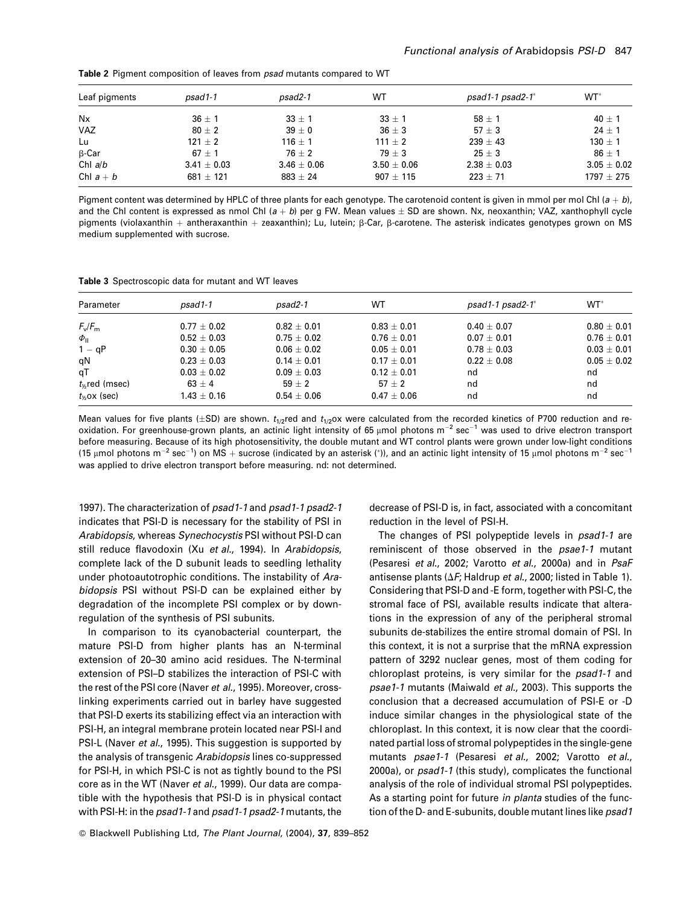| Leaf pigments | $psad1-1$       | $psad2-1$       | WT              | $psad1-1 psad2-1$ <sup>*</sup> | WT <sup>*</sup> |
|---------------|-----------------|-----------------|-----------------|--------------------------------|-----------------|
| Nx            | $36 + 1$        | $33 + 1$        | $33 + 1$        | $58 + 1$                       | $40 \pm 1$      |
| VAZ           | $80 \pm 2$      | $39 \pm 0$      | $36 \pm 3$      | 57 $\pm$ 3                     | $24 \pm 1$      |
| Lu            | $121 + 2$       | $116 + 1$       | $111 + 2$       | $239 \pm 43$                   | $130 + 1$       |
| $\beta$ -Car  | $67 + 1$        | $76 + 2$        | $79 + 3$        | $25 \pm 3$                     | $86 + 1$        |
| Chl $a/b$     | $3.41 \pm 0.03$ | $3.46 \pm 0.06$ | $3.50 \pm 0.06$ | $2.38 \pm 0.03$                | $3.05 \pm 0.02$ |
| Chl $a + b$   | $681 \pm 121$   | $883 \pm 24$    | $907 + 115$     | $223 \pm 71$                   | $1797 \pm 275$  |

Table 2 Pigment composition of leaves from psad mutants compared to WT

Pigment content was determined by HPLC of three plants for each genotype. The carotenoid content is given in mmol per mol Chl  $(a + b)$ , and the Chl content is expressed as nmol Chl  $(a + b)$  per q FW. Mean values  $\pm$  SD are shown. Nx, neoxanthin; VAZ, xanthophyll cycle pigments (violaxanthin + antheraxanthin + zeaxanthin); Lu, lutein;  $\beta$ -Car,  $\beta$ -carotene. The asterisk indicates genotypes grown on MS medium supplemented with sucrose.

Table 3 Spectroscopic data for mutant and WT leaves

| Parameter           | $psad1-1$       | $psad2-1$       | WT              | $psad1-1 psad2-1$ <sup>*</sup> | $WT^*$          |
|---------------------|-----------------|-----------------|-----------------|--------------------------------|-----------------|
| $F_v/F_m$           | $0.77 \pm 0.02$ | $0.82 \pm 0.01$ | $0.83 \pm 0.01$ | $0.40 \pm 0.07$                | $0.80 \pm 0.01$ |
| $\Phi_{\rm II}$     | $0.52 \pm 0.03$ | $0.75 + 0.02$   | $0.76 + 0.01$   | $0.07 + 0.01$                  | $0.76 \pm 0.01$ |
| $1 - qP$            | $0.30 + 0.05$   | $0.06 + 0.02$   | $0.05 + 0.01$   | $0.78 \pm 0.03$                | $0.03 \pm 0.01$ |
| qN                  | $0.23 \pm 0.03$ | $0.14 + 0.01$   | $0.17 + 0.01$   | $0.22 + 0.08$                  | $0.05 + 0.02$   |
| qT                  | $0.03 \pm 0.02$ | $0.09 \pm 0.03$ | $0.12 \pm 0.01$ | nd                             | nd              |
| $t_{\%}$ red (msec) | $63 \pm 4$      | $59 + 2$        | $57 + 2$        | nd                             | nd              |
| $t_{\%}$ ox (sec)   | $1.43 \pm 0.16$ | $0.54 \pm 0.06$ | $0.47 \pm 0.06$ | nd                             | nd              |

Mean values for five plants ( $\pm$ SD) are shown. t<sub>1/2</sub>red and t<sub>1/2</sub>ox were calculated from the recorded kinetics of P700 reduction and reoxidation. For greenhouse-grown plants, an actinic light intensity of 65 µmol photons m<sup>-2</sup> sec<sup>-1</sup> was used to drive electron transport before measuring. Because of its high photosensitivity, the double mutant and WT control plants were grown under low-light conditions (15 µmol photons m<sup>-2</sup> sec<sup>-1</sup>) on MS + sucrose (indicated by an asterisk (\*)), and an actinic light intensity of 15 µmol photons m<sup>-2</sup> sec<sup>-1</sup> was applied to drive electron transport before measuring. nd: not determined.

1997). The characterization of psad1-1 and psad1-1 psad2-1 indicates that PSI-D is necessary for the stability of PSI in Arabidopsis, whereas Synechocystis PSI without PSI-D can still reduce flavodoxin (Xu et al., 1994). In Arabidopsis, complete lack of the D subunit leads to seedling lethality under photoautotrophic conditions. The instability of Arabidopsis PSI without PSI-D can be explained either by degradation of the incomplete PSI complex or by downregulation of the synthesis of PSI subunits.

In comparison to its cyanobacterial counterpart, the mature PSI-D from higher plants has an N-terminal extension of 20-30 amino acid residues. The N-terminal extension of PSI-D stabilizes the interaction of PSI-C with the rest of the PSI core (Naver et al., 1995). Moreover, crosslinking experiments carried out in barley have suggested that PSI-D exerts its stabilizing effect via an interaction with PSI-H, an integral membrane protein located near PSI-I and PSI-L (Naver et al., 1995). This suggestion is supported by the analysis of transgenic Arabidopsis lines co-suppressed for PSI-H, in which PSI-C is not as tightly bound to the PSI core as in the WT (Naver et al., 1999). Our data are compatible with the hypothesis that PSI-D is in physical contact with PSI-H: in the psad1-1 and psad1-1 psad2-1 mutants, the decrease of PSI-D is, in fact, associated with a concomitant reduction in the level of PSI-H.

The changes of PSI polypeptide levels in psad1-1 are reminiscent of those observed in the *psae1-1* mutant (Pesaresi et al., 2002; Varotto et al., 2000a) and in PsaF antisense plants ( $\Delta F$ ; Haldrup et al., 2000; listed in Table 1). Considering that PSI-D and -E form, together with PSI-C, the stromal face of PSI, available results indicate that alterations in the expression of any of the peripheral stromal subunits de-stabilizes the entire stromal domain of PSI. In this context, it is not a surprise that the mRNA expression pattern of 3292 nuclear genes, most of them coding for chloroplast proteins, is very similar for the psad1-1 and psae1-1 mutants (Maiwald et al., 2003). This supports the conclusion that a decreased accumulation of PSI-E or -D induce similar changes in the physiological state of the chloroplast. In this context, it is now clear that the coordinated partial loss of stromal polypeptides in the single-gene mutants psae1-1 (Pesaresi et al., 2002; Varotto et al., 2000a), or psad1-1 (this study), complicates the functional analysis of the role of individual stromal PSI polypeptides. As a starting point for future in planta studies of the function of the D- and E-subunits, double mutant lines like psad1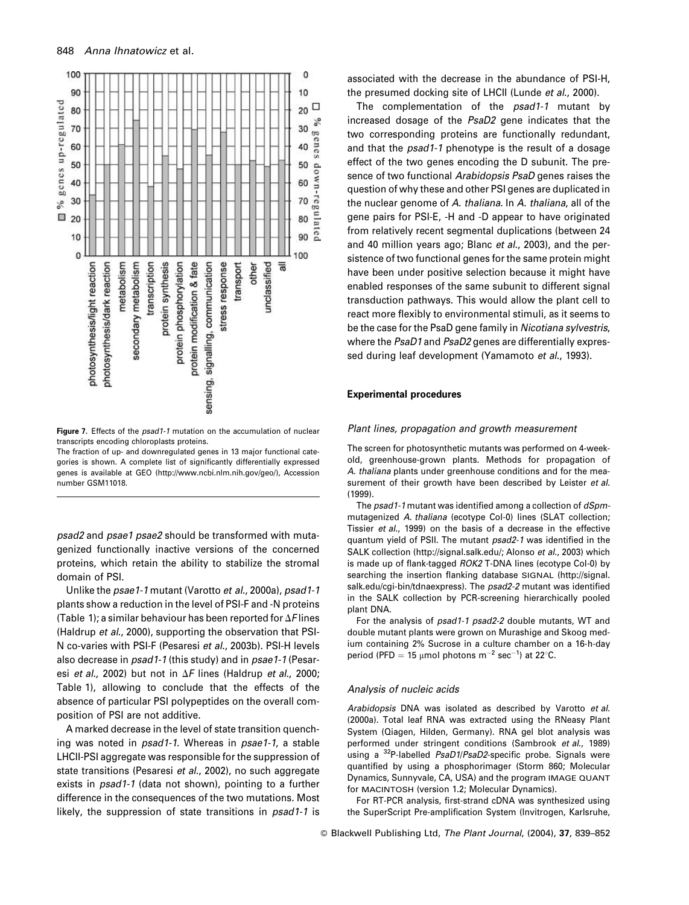

Figure 7. Effects of the psad1-1 mutation on the accumulation of nuclear transcripts encoding chloroplasts proteins.

The fraction of up- and downregulated genes in 13 major functional categories is shown. A complete list of significantly differentially expressed genes is available at GEO (http://www.ncbi.nlm.nih.gov/geo/), Accession number GSM11018.

psad2 and psae1 psae2 should be transformed with mutagenized functionally inactive versions of the concerned proteins, which retain the ability to stabilize the stromal domain of PSI.

Unlike the psae1-1 mutant (Varotto et al., 2000a), psad1-1 plants show a reduction in the level of PSI-F and -N proteins (Table 1); a similar behaviour has been reported for  $\Delta F$  lines (Haldrup et al., 2000), supporting the observation that PSI-N co-varies with PSI-F (Pesaresi et al., 2003b). PSI-H levels also decrease in psad1-1 (this study) and in psae1-1 (Pesaresi et al., 2002) but not in  $\Delta F$  lines (Haldrup et al., 2000; Table 1), allowing to conclude that the effects of the absence of particular PSI polypeptides on the overall composition of PSI are not additive.

A marked decrease in the level of state transition quenching was noted in *psad1-1*. Whereas in *psae1-1*, a stable LHCII-PSI aggregate was responsible for the suppression of state transitions (Pesaresi et al., 2002), no such aggregate exists in psad1-1 (data not shown), pointing to a further difference in the consequences of the two mutations. Most likely, the suppression of state transitions in *psad1-1* is

associated with the decrease in the abundance of PSI-H, the presumed docking site of LHCII (Lunde et al., 2000).

The complementation of the psad1-1 mutant by increased dosage of the PsaD2 gene indicates that the two corresponding proteins are functionally redundant, and that the *psad1-1* phenotype is the result of a dosage effect of the two genes encoding the D subunit. The presence of two functional Arabidopsis PsaD genes raises the question of why these and other PSI genes are duplicated in the nuclear genome of A. thaliana. In A. thaliana, all of the gene pairs for PSI-E, -H and -D appear to have originated from relatively recent segmental duplications (between 24 and 40 million years ago; Blanc et al., 2003), and the persistence of two functional genes for the same protein might have been under positive selection because it might have enabled responses of the same subunit to different signal transduction pathways. This would allow the plant cell to react more flexibly to environmental stimuli, as it seems to be the case for the PsaD gene family in Nicotiana sylvestris, where the PsaD1 and PsaD2 genes are differentially expressed during leaf development (Yamamoto et al., 1993).

#### **Experimental procedures**

#### Plant lines, propagation and growth measurement

The screen for photosynthetic mutants was performed on 4-weekold, greenhouse-grown plants. Methods for propagation of A. thaliana plants under greenhouse conditions and for the measurement of their growth have been described by Leister et al.  $(1999)$ .

The psad1-1 mutant was identified among a collection of dSpmmutagenized A. thaliana (ecotype Col-0) lines (SLAT collection; Tissier et al., 1999) on the basis of a decrease in the effective quantum yield of PSII. The mutant psad2-1 was identified in the SALK collection (http://signal.salk.edu/; Alonso et al., 2003) which is made up of flank-tagged ROK2 T-DNA lines (ecotype Col-0) by searching the insertion flanking database SIGNAL (http://signal. salk.edu/cgi-bin/tdnaexpress). The psad2-2 mutant was identified in the SALK collection by PCR-screening hierarchically pooled plant DNA.

For the analysis of psad1-1 psad2-2 double mutants, WT and double mutant plants were grown on Murashige and Skoog medium containing 2% Sucrose in a culture chamber on a 16-h-day period (PFD = 15  $\mu$ mol photons m<sup>-2</sup> sec<sup>-1</sup>) at 22°C.

#### Analysis of nucleic acids

Arabidopsis DNA was isolated as described by Varotto et al. (2000a). Total leaf RNA was extracted using the RNeasy Plant System (Qiagen, Hilden, Germany). RNA gel blot analysis was performed under stringent conditions (Sambrook et al., 1989) using a <sup>32</sup>P-labelled PsaD1/PsaD2-specific probe. Signals were quantified by using a phosphorimager (Storm 860; Molecular Dynamics, Sunnyvale, CA, USA) and the program IMAGE QUANT for MACINTOSH (version 1.2; Molecular Dynamics).

For RT-PCR analysis, first-strand cDNA was synthesized using the SuperScript Pre-amplification System (Invitrogen, Karlsruhe,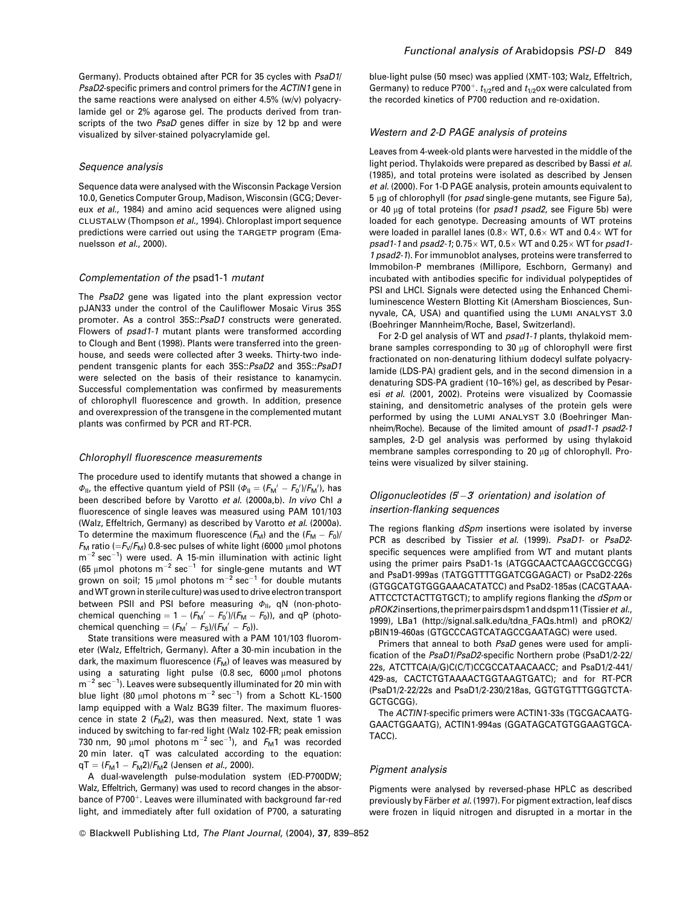Germany). Products obtained after PCR for 35 cycles with PsaD1/ PsaD2-specific primers and control primers for the ACTIN1 gene in the same reactions were analysed on either 4.5% (w/y) polyacrylamide gel or 2% agarose gel. The products derived from transcripts of the two PsaD genes differ in size by 12 bp and were visualized by silver-stained polyacrylamide gel.

#### Sequence analysis

Sequence data were analysed with the Wisconsin Package Version 10.0, Genetics Computer Group, Madison, Wisconsin (GCG; Devereux et al., 1984) and amino acid sequences were aligned using CLUSTALW (Thompson et al., 1994). Chloroplast import sequence predictions were carried out using the TARGETP program (Emanuelsson et al., 2000).

#### Complementation of the psad1-1 mutant

The PsaD2 gene was ligated into the plant expression vector pJAN33 under the control of the Cauliflower Mosaic Virus 35S promoter. As a control 35S:: PsaD1 constructs were generated. Flowers of psad1-1 mutant plants were transformed according to Clough and Bent (1998). Plants were transferred into the greenhouse, and seeds were collected after 3 weeks. Thirty-two independent transgenic plants for each 35S:: PsaD2 and 35S:: PsaD1 were selected on the basis of their resistance to kanamycin. Successful complementation was confirmed by measurements of chlorophyll fluorescence and growth. In addition, presence and overexpression of the transgene in the complemented mutant plants was confirmed by PCR and RT-PCR.

#### Chlorophyll fluorescence measurements

The procedure used to identify mutants that showed a change in  $\Phi_{II}$ , the effective quantum yield of PSII ( $\Phi_{II} = (F_M' - F_0')/F_M'$ ), has been described before by Varotto et al. (2000a,b). In vivo Chl a fluorescence of single leaves was measured using PAM 101/103 (Walz, Effeltrich, Germany) as described by Varotto et al. (2000a). To determine the maximum fluorescence  $(F_M)$  and the  $(F_M - F_0)$ /  $F_{\rm M}$  ratio (= $F_{\rm M}/F_{\rm M}$ ) 0.8-sec pulses of white light (6000 µmol photons  $m^{-2}$  sec<sup>-1</sup>) were used. A 15-min illumination with actinic light (65 µmol photons  $m^{-2}$  sec<sup>-1</sup> for single-gene mutants and WT grown on soil; 15  $\mu$ mol photons m<sup>-2</sup> sec<sup>-1</sup> for double mutants and WT grown in sterile culture) was used to drive electron transport between PSII and PSI before measuring  $\Phi_{II}$ , qN (non-photochemical quenching =  $1 - (F_M' - F_0')/(F_M - F_0)$ , and qP (photochemical quenching =  $(F_M' - F_S)/(F_M' - F_0)$ ).

State transitions were measured with a PAM 101/103 fluorometer (Walz, Effeltrich, Germany). After a 30-min incubation in the dark, the maximum fluorescence  $(F_M)$  of leaves was measured by using a saturating light pulse (0.8 sec, 6000 µmol photons  $m^{-2}$  sec<sup>-1</sup>). Leaves were subsequently illuminated for 20 min with blue light (80 µmol photons  $m^{-2}$  sec<sup>-1</sup>) from a Schott KL-1500 lamp equipped with a Walz BG39 filter. The maximum fluorescence in state 2  $(F_M 2)$ , was then measured. Next, state 1 was induced by switching to far-red light (Walz 102-FR; peak emission 730 nm, 90  $\mu$ mol photons m<sup>-2</sup> sec<sup>-1</sup>), and  $F_M$ 1 was recorded 20 min later. qT was calculated according to the equation:  $qT = (F_M 1 - F_M 2)/F_M 2$  (Jensen *et al.*, 2000).

A dual-wavelength pulse-modulation system (ED-P700DW; Walz, Effeltrich, Germany) was used to record changes in the absorbance of P700<sup>+</sup>. Leaves were illuminated with background far-red light, and immediately after full oxidation of P700, a saturating

blue-light pulse (50 msec) was applied (XMT-103; Walz, Effeltrich, Germany) to reduce P700<sup>+</sup>.  $t_{1/2}$ red and  $t_{1/2}$ ox were calculated from the recorded kinetics of P700 reduction and re-oxidation.

#### Western and 2-D PAGE analysis of proteins

Leaves from 4-week-old plants were harvested in the middle of the light period. Thylakoids were prepared as described by Bassi et al. (1985), and total proteins were isolated as described by Jensen et al. (2000). For 1-D PAGE analysis, protein amounts equivalent to 5 µg of chlorophyll (for *psad* single-gene mutants, see Figure 5a), or 40 µg of total proteins (for psad1 psad2, see Figure 5b) were loaded for each genotype. Decreasing amounts of WT proteins were loaded in parallel lanes (0.8 $\times$  WT, 0.6 $\times$  WT and 0.4 $\times$  WT for psad1-1 and psad2-1;  $0.75 \times W$ T,  $0.5 \times W$ T and  $0.25 \times W$ T for psad1-1 psad2-1). For immunoblot analyses, proteins were transferred to Immobilon-P membranes (Millipore, Eschborn, Germany) and incubated with antibodies specific for individual polypeptides of PSI and LHCI. Signals were detected using the Enhanced Chemi-Iuminescence Western Blotting Kit (Amersham Biosciences, Sunnyvale, CA, USA) and quantified using the LUMI ANALYST 3.0 (Boehringer Mannheim/Roche, Basel, Switzerland).

For 2-D gel analysis of WT and psad1-1 plants, thylakoid membrane samples corresponding to 30 µg of chlorophyll were first fractionated on non-denaturing lithium dodecyl sulfate polyacrylamide (LDS-PA) gradient gels, and in the second dimension in a denaturing SDS-PA gradient (10-16%) gel, as described by Pesaresi et al. (2001, 2002). Proteins were visualized by Coomassie staining, and densitometric analyses of the protein gels were performed by using the LUMI ANALYST 3.0 (Boehringer Mannheim/Roche). Because of the limited amount of psad1-1 psad2-1 samples, 2-D gel analysis was performed by using thylakoid membrane samples corresponding to 20 µg of chlorophyll. Proteins were visualized by silver staining.

## Oligonucleotides  $(5-3)$  orientation) and isolation of insertion-flanking sequences

The regions flanking dSpm insertions were isolated by inverse PCR as described by Tissier et al. (1999). PsaD1- or PsaD2specific sequences were amplified from WT and mutant plants using the primer pairs PsaD1-1s (ATGGCAACTCAAGCCGCCGG) and PsaD1-999as (TATGGTTTTGGATCGGAGACT) or PsaD2-226s (GTGGCATGTGGGAAACATATCC) and PsaD2-185as (CACGTAAA-ATTCCTCTACTTGTGCT); to amplify regions flanking the dSpm or pROK2 insertions, the primer pairs dspm1 and dspm11 (Tissier et al., 1999), LBa1 (http://signal.salk.edu/tdna\_FAQs.html) and pROK2/ pBIN19-460as (GTGCCCAGTCATAGCCGAATAGC) were used.

Primers that anneal to both PsaD genes were used for amplification of the PsaD1/PsaD2-specific Northern probe (PsaD1/2-22/ 22s, ATCTTCA(A/G)C(C/T)CCGCCATAACAACC; and PsaD1/2-441/ 429-as, CACTCTGTAAAACTGGTAAGTGATC); and for RT-PCR (PsaD1/2-22/22s and PsaD1/2-230/218as, GGTGTGTTTGGGTCTA-GCTGCGG).

The ACTIN1-specific primers were ACTIN1-33s (TGCGACAATG-GAACTGGAATG), ACTIN1-994as (GGATAGCATGTGGAAGTGCA-TACC).

#### Piament analysis

Pigments were analysed by reversed-phase HPLC as described previously by Färber et al. (1997). For pigment extraction, leaf discs were frozen in liquid nitrogen and disrupted in a mortar in the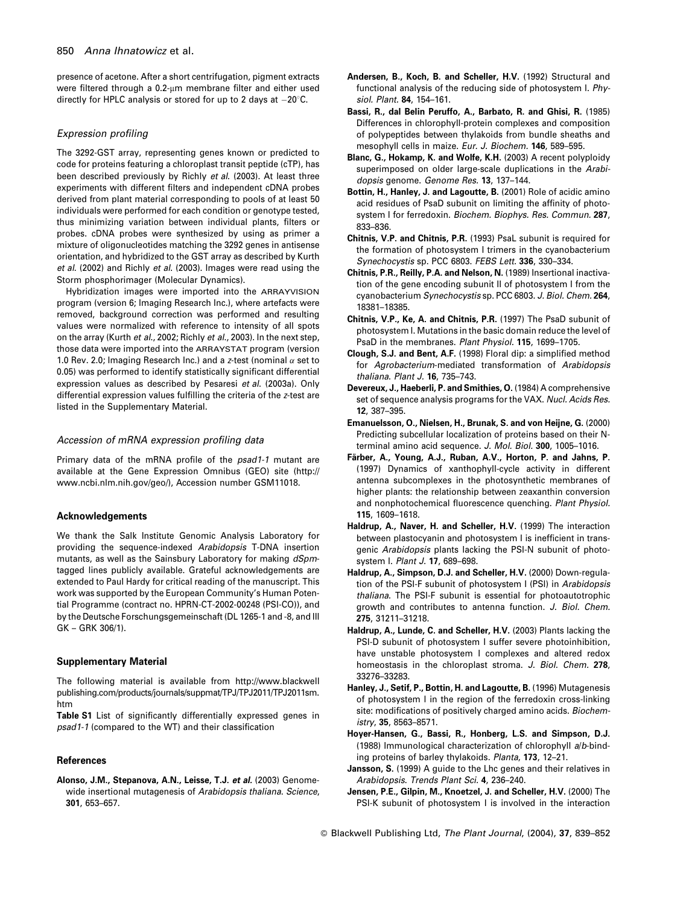presence of acetone. After a short centrifugation, pigment extracts were filtered through a 0.2-um membrane filter and either used directly for HPLC analysis or stored for up to 2 days at  $-20^{\circ}$ C.

#### **Expression profiling**

The 3292-GST array, representing genes known or predicted to code for proteins featuring a chloroplast transit peptide (cTP), has been described previously by Richly et al. (2003). At least three experiments with different filters and independent cDNA probes derived from plant material corresponding to pools of at least 50 individuals were performed for each condition or genotype tested, thus minimizing variation between individual plants, filters or probes. cDNA probes were synthesized by using as primer a mixture of oligonucleotides matching the 3292 genes in antisense orientation, and hybridized to the GST array as described by Kurth et al. (2002) and Richly et al. (2003). Images were read using the Storm phosphorimager (Molecular Dynamics).

Hybridization images were imported into the ARRAYVISION program (version 6; Imaging Research Inc.), where artefacts were removed, background correction was performed and resulting values were normalized with reference to intensity of all spots on the array (Kurth et al., 2002; Richly et al., 2003). In the next step, those data were imported into the ARRAYSTAT program (version 1.0 Rev. 2.0; Imaging Research Inc.) and a z-test (nominal  $\alpha$  set to 0.05) was performed to identify statistically significant differential expression values as described by Pesaresi et al. (2003a). Only differential expression values fulfilling the criteria of the z-test are listed in the Supplementary Material.

#### Accession of mRNA expression profiling data

Primary data of the mRNA profile of the psad1-1 mutant are available at the Gene Expression Omnibus (GEO) site (http:// www.ncbi.nlm.nih.gov/geo/), Accession number GSM11018.

#### **Acknowledgements**

We thank the Salk Institute Genomic Analysis Laboratory for providing the sequence-indexed Arabidopsis T-DNA insertion mutants, as well as the Sainsbury Laboratory for making dSpmtagged lines publicly available. Grateful acknowledgements are extended to Paul Hardy for critical reading of the manuscript. This work was supported by the European Community's Human Potential Programme (contract no. HPRN-CT-2002-00248 (PSI-CO)), and by the Deutsche Forschungsgemeinschaft (DL 1265-1 and -8, and III GK - GRK 306/1).

#### **Supplementary Material**

The following material is available from http://www.blackwell publishing.com/products/journals/suppmat/TPJ/TPJ2011/TPJ2011sm. htm

Table S1 List of significantly differentially expressed genes in psad1-1 (compared to the WT) and their classification

## **References**

Alonso, J.M., Stepanova, A.N., Leisse, T.J. et al. (2003) Genomewide insertional mutagenesis of Arabidopsis thaliana. Science, 301, 653-657.

- Andersen, B., Koch, B. and Scheller, H.V. (1992) Structural and functional analysis of the reducing side of photosystem I. Physiol. Plant. 84, 154-161.
- Bassi, R., dal Belin Peruffo, A., Barbato, R. and Ghisi, R. (1985) Differences in chlorophyll-protein complexes and composition of polypeptides between thylakoids from bundle sheaths and mesophyll cells in maize. Eur. J. Biochem. 146, 589-595.
- Blanc, G., Hokamp, K. and Wolfe, K.H. (2003) A recent polyploidy superimposed on older large-scale duplications in the Arabidopsis genome. Genome Res. 13, 137-144.
- Bottin, H., Hanley, J. and Lagoutte, B. (2001) Role of acidic amino acid residues of PsaD subunit on limiting the affinity of photosystem I for ferredoxin. Biochem. Biophys. Res. Commun. 287, 833-836.
- Chitnis, V.P. and Chitnis, P.R. (1993) Psal subunit is required for the formation of photosystem I trimers in the cyanobacterium Synechocystis sp. PCC 6803. FEBS Lett. 336, 330-334.
- Chitnis, P.R., Reilly, P.A. and Nelson, N. (1989) Insertional inactivation of the gene encoding subunit II of photosystem I from the cyanobacterium Synechocystis sp. PCC 6803. J. Biol. Chem. 264, 18381-18385.
- Chitnis, V.P., Ke, A. and Chitnis, P.R. (1997) The PsaD subunit of photosystem I. Mutations in the basic domain reduce the level of PsaD in the membranes. Plant Physiol. 115, 1699-1705.
- Clough, S.J. and Bent, A.F. (1998) Floral dip: a simplified method for Agrobacterium-mediated transformation of Arabidopsis thaliana. Plant J. 16, 735-743.
- Devereux, J., Haeberli, P. and Smithies, O. (1984) A comprehensive set of sequence analysis programs for the VAX. Nucl. Acids Res. 12, 387-395.
- Emanuelsson, O., Nielsen, H., Brunak, S. and von Heijne, G. (2000) Predicting subcellular localization of proteins based on their Nterminal amino acid sequence. J. Mol. Biol. 300, 1005-1016.
- Färber, A., Young, A.J., Ruban, A.V., Horton, P. and Jahns, P. (1997) Dynamics of xanthophyll-cycle activity in different antenna subcomplexes in the photosynthetic membranes of higher plants: the relationship between zeaxanthin conversion and nonphotochemical fluorescence quenching. Plant Physiol. 115, 1609-1618.
- Haldrup, A., Naver, H. and Scheller, H.V. (1999) The interaction between plastocyanin and photosystem I is inefficient in transgenic Arabidopsis plants lacking the PSI-N subunit of photosystem I. Plant J. 17, 689-698.
- Haldrup, A., Simpson, D.J. and Scheller, H.V. (2000) Down-regulation of the PSI-F subunit of photosystem I (PSI) in Arabidopsis thaliana. The PSI-F subunit is essential for photoautotrophic growth and contributes to antenna function. J. Biol. Chem. 275. 31211-31218.
- Haldrup, A., Lunde, C. and Scheller, H.V. (2003) Plants lacking the PSI-D subunit of photosystem I suffer severe photoinhibition, have unstable photosystem I complexes and altered redox homeostasis in the chloroplast stroma. J. Biol. Chem. 278, 33276-33283
- Hanley, J., Setif, P., Bottin, H. and Lagoutte, B. (1996) Mutagenesis of photosystem I in the region of the ferredoxin cross-linking site: modifications of positively charged amino acids. Biochemistry, 35, 8563-8571.
- Hoyer-Hansen, G., Bassi, R., Honberg, L.S. and Simpson, D.J. (1988) Immunological characterization of chlorophyll a/b-binding proteins of barley thylakoids. Planta, 173, 12-21.
- Jansson, S. (1999) A guide to the Lhc genes and their relatives in Arabidopsis. Trends Plant Sci. 4, 236-240.
- Jensen, P.E., Gilpin, M., Knoetzel, J. and Scheller, H.V. (2000) The PSI-K subunit of photosystem I is involved in the interaction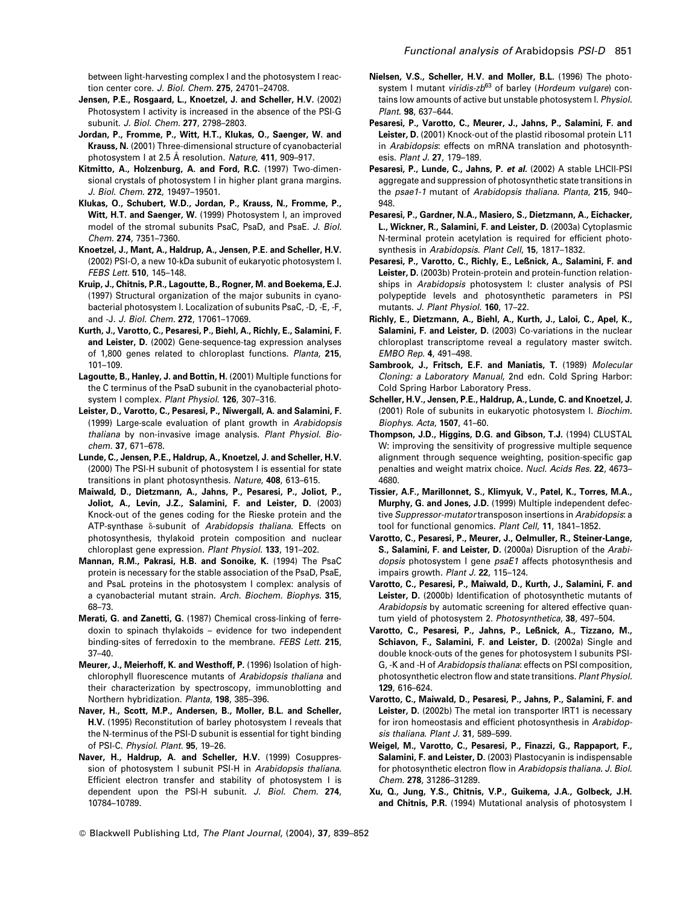between light-harvesting complex I and the photosystem I reaction center core. J. Biol. Chem. 275, 24701-24708.

- Jensen, P.E., Rosgaard, L., Knoetzel, J. and Scheller, H.V. (2002) Photosystem I activity is increased in the absence of the PSI-G subunit. J. Biol. Chem. 277, 2798-2803.
- Jordan, P., Fromme, P., Witt, H.T., Klukas, O., Saenger, W. and Krauss, N. (2001) Three-dimensional structure of cyanobacterial photosystem I at 2.5 Å resolution. Nature, 411, 909-917.
- Kitmitto, A., Holzenburg, A. and Ford, R.C. (1997) Two-dimensional crystals of photosystem I in higher plant grana margins. J. Biol. Chem. 272, 19497-19501.
- Klukas, O., Schubert, W.D., Jordan, P., Krauss, N., Fromme, P., Witt, H.T. and Saenger, W. (1999) Photosystem I, an improved model of the stromal subunits PsaC, PsaD, and PsaE. J. Biol. Chem. 274, 7351-7360.
- Knoetzel, J., Mant, A., Haldrup, A., Jensen, P.E. and Scheller, H.V. (2002) PSI-O, a new 10-kDa subunit of eukaryotic photosystem I. FEBS Lett. 510, 145-148.
- Kruip, J., Chitnis, P.R., Lagoutte, B., Rogner, M. and Boekema, E.J. (1997) Structural organization of the major subunits in cyanobacterial photosystem I. Localization of subunits PsaC, -D, -E, -F, and -J. J. Biol. Chem. 272, 17061-17069.
- Kurth, J., Varotto, C., Pesaresi, P., Biehl, A., Richly, E., Salamini, F. and Leister, D. (2002) Gene-sequence-tag expression analyses of 1,800 genes related to chloroplast functions. Planta, 215,  $101 - 109.$
- Lagoutte, B., Hanley, J. and Bottin, H. (2001) Multiple functions for the C terminus of the PsaD subunit in the cyanobacterial photosystem I complex. Plant Physiol. 126, 307-316.
- Leister, D., Varotto, C., Pesaresi, P., Niwergall, A. and Salamini, F. (1999) Large-scale evaluation of plant growth in Arabidopsis thaliana by non-invasive image analysis. Plant Physiol. Biochem. 37, 671-678.
- Lunde, C., Jensen, P.E., Haldrup, A., Knoetzel, J. and Scheller, H.V. (2000) The PSI-H subunit of photosystem I is essential for state transitions in plant photosynthesis. Nature, 408, 613-615.
- Maiwald, D., Dietzmann, A., Jahns, P., Pesaresi, P., Joliot, P., Joliot, A., Levin, J.Z., Salamini, F. and Leister, D. (2003) Knock-out of the genes coding for the Rieske protein and the ATP-synthase  $\delta$ -subunit of Arabidopsis thaliana. Effects on photosynthesis, thylakoid protein composition and nuclear chloroplast gene expression. Plant Physiol. 133, 191-202.
- Mannan, R.M., Pakrasi, H.B. and Sonoike, K. (1994) The PsaC protein is necessary for the stable association of the PsaD, PsaE, and PsaL proteins in the photosystem I complex: analysis of a cyanobacterial mutant strain. Arch. Biochem. Biophys. 315, 68-73.
- Merati, G. and Zanetti, G. (1987) Chemical cross-linking of ferredoxin to spinach thylakoids - evidence for two independent binding-sites of ferredoxin to the membrane. FEBS Lett. 215,  $37 - 40.$
- Meurer, J., Meierhoff, K. and Westhoff, P. (1996) Isolation of highchlorophyll fluorescence mutants of Arabidonsis thaliana and their characterization by spectroscopy, immunoblotting and Northern hybridization. Planta, 198, 385-396.
- Naver, H., Scott, M.P., Andersen, B., Moller, B.L. and Scheller, H.V. (1995) Reconstitution of barley photosystem I reveals that the N-terminus of the PSI-D subunit is essential for tight binding of PSI-C. Physiol. Plant. 95, 19-26.
- Naver, H., Haldrup, A. and Scheller, H.V. (1999) Cosuppression of photosystem I subunit PSI-H in Arabidopsis thaliana. Efficient electron transfer and stability of photosystem I is dependent upon the PSI-H subunit. J. Biol. Chem. 274, 10784-10789.
- Nielsen, V.S., Scheller, H.V. and Moller, B.L. (1996) The photosystem I mutant viridis-zb<sup>63</sup> of barley (Hordeum vulgare) contains low amounts of active but unstable photosystem I. Physiol. Plant. 98, 637-644.
- Pesaresi, P., Varotto, C., Meurer, J., Jahns, P., Salamini, F. and Leister, D. (2001) Knock-out of the plastid ribosomal protein L11 in Arabidopsis: effects on mRNA translation and photosynthesis. Plant J. 27, 179-189.
- Pesaresi, P., Lunde, C., Jahns, P. et al. (2002) A stable LHCII-PSI aggregate and suppression of photosynthetic state transitions in the psae1-1 mutant of Arabidopsis thaliana. Planta, 215, 940-948
- Pesaresi, P., Gardner, N.A., Masiero, S., Dietzmann, A., Eichacker, L., Wickner, R., Salamini, F. and Leister, D. (2003a) Cytoplasmic N-terminal protein acetylation is required for efficient photosynthesis in Arabidopsis. Plant Cell, 15, 1817-1832.
- Pesaresi, P., Varotto, C., Richly, E., Leßnick, A., Salamini, F. and Leister, D. (2003b) Protein-protein and protein-function relationships in Arabidopsis photosystem I: cluster analysis of PSI polypeptide levels and photosynthetic parameters in PSI mutants. J. Plant Physiol. 160, 17-22.
- Richly, E., Dietzmann, A., Biehl, A., Kurth, J., Laloi, C., Apel, K., Salamini, F. and Leister, D. (2003) Co-variations in the nuclear chloroplast transcriptome reveal a regulatory master switch. EMBO Rep. 4, 491-498.
- Sambrook, J., Fritsch, E.F. and Maniatis, T. (1989) Molecular Cloning: a Laboratory Manual, 2nd edn. Cold Spring Harbor: Cold Spring Harbor Laboratory Press.
- Scheller, H.V., Jensen, P.E., Haldrup, A., Lunde, C. and Knoetzel, J. (2001) Role of subunits in eukaryotic photosystem I. Biochim. Biophys. Acta. 1507. 41-60.
- Thompson, J.D., Higgins, D.G. and Gibson, T.J. (1994) CLUSTAL W: improving the sensitivity of progressive multiple sequence alignment through sequence weighting, position-specific gap penalties and weight matrix choice. Nucl. Acids Res. 22, 4673-4680
- Tissier, A.F., Marillonnet, S., Klimyuk, V., Patel, K., Torres, M.A., Murphy, G. and Jones, J.D. (1999) Multiple independent defective Suppressor-mutator transposon insertions in Arabidopsis: a tool for functional genomics. Plant Cell. 11, 1841-1852.
- Varotto, C., Pesaresi, P., Meurer, J., Oelmuller, R., Steiner-Lange, S., Salamini, F. and Leister, D. (2000a) Disruption of the Arabidopsis photosystem I gene psaE1 affects photosynthesis and impairs growth. Plant J. 22, 115-124.
- Varotto, C., Pesaresi, P., Maiwald, D., Kurth, J., Salamini, F. and Leister, D. (2000b) Identification of photosynthetic mutants of Arabidopsis by automatic screening for altered effective quantum vield of photosystem 2. Photosynthetica. 38, 497-504.
- Varotto, C., Pesaresi, P., Jahns, P., Leßnick, A., Tizzano, M., Schiavon, F., Salamini, F. and Leister, D. (2002a) Single and double knock-outs of the genes for photosystem I subunits PSI-G, -K and -H of Arabidopsis thaliana: effects on PSI composition, photosynthetic electron flow and state transitions. Plant Physiol. 129.616-624.
- Varotto, C., Maiwald, D., Pesaresi, P., Jahns, P., Salamini, F. and Leister, D. (2002b) The metal ion transporter IRT1 is necessary for iron homeostasis and efficient photosynthesis in Arabidopsis thaliana. Plant J. 31, 589-599.
- Weigel, M., Varotto, C., Pesaresi, P., Finazzi, G., Rappaport, F., Salamini, F. and Leister, D. (2003) Plastocyanin is indispensable for photosynthetic electron flow in Arabidopsis thaliana. J. Biol. Chem. 278, 31286-31289.
- Xu, Q., Jung, Y.S., Chitnis, V.P., Guikema, J.A., Golbeck, J.H. and Chitnis, P.R. (1994) Mutational analysis of photosystem I